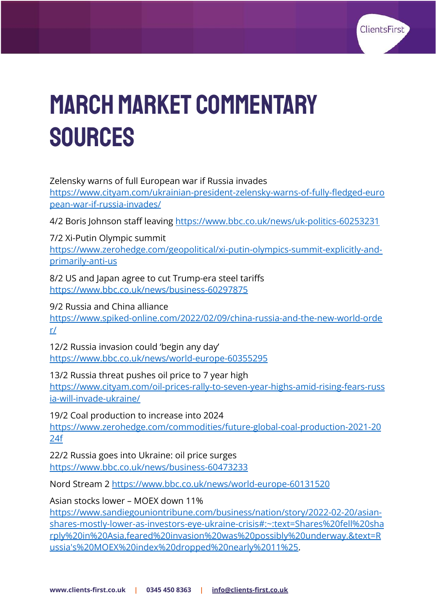

# MArch MARKET COMMENTARY **SOURCES**

Zelensky warns of full European war if Russia invades

[https://www.cityam.com/ukrainian-president-zelensky-warns-of-fully-fledged-euro](https://www.cityam.com/ukrainian-president-zelensky-warns-of-fully-fledged-european-war-if-russia-invades/) [pean-war-if-russia-invades/](https://www.cityam.com/ukrainian-president-zelensky-warns-of-fully-fledged-european-war-if-russia-invades/)

4/2 Boris Johnson staff leaving <https://www.bbc.co.uk/news/uk-politics-60253231>

7/2 Xi-Putin Olympic summit

[https://www.zerohedge.com/geopolitical/xi-putin-olympics-summit-explicitly-and](https://www.zerohedge.com/geopolitical/xi-putin-olympics-summit-explicitly-and-primarily-anti-us)[primarily-anti-us](https://www.zerohedge.com/geopolitical/xi-putin-olympics-summit-explicitly-and-primarily-anti-us)

8/2 US and Japan agree to cut Trump-era steel tariffs <https://www.bbc.co.uk/news/business-60297875>

9/2 Russia and China alliance [https://www.spiked-online.com/2022/02/09/china-russia-and-the-new-world-orde](https://www.spiked-online.com/2022/02/09/china-russia-and-the-new-world-order/) [r/](https://www.spiked-online.com/2022/02/09/china-russia-and-the-new-world-order/)

12/2 Russia invasion could 'begin any day' <https://www.bbc.co.uk/news/world-europe-60355295>

13/2 Russia threat pushes oil price to 7 year high [https://www.cityam.com/oil-prices-rally-to-seven-year-highs-amid-rising-fears-russ](https://www.cityam.com/oil-prices-rally-to-seven-year-highs-amid-rising-fears-russia-will-invade-ukraine/) [ia-will-invade-ukraine/](https://www.cityam.com/oil-prices-rally-to-seven-year-highs-amid-rising-fears-russia-will-invade-ukraine/)

19/2 Coal production to increase into 2024 [https://www.zerohedge.com/commodities/future-global-coal-production-2021-20](https://www.zerohedge.com/commodities/future-global-coal-production-2021-2024f) [24f](https://www.zerohedge.com/commodities/future-global-coal-production-2021-2024f)

22/2 Russia goes into Ukraine: oil price surges <https://www.bbc.co.uk/news/business-60473233>

Nord Stream 2 <https://www.bbc.co.uk/news/world-europe-60131520>

Asian stocks lower – MOEX down 11%

[https://www.sandiegouniontribune.com/business/nation/story/2022-02-20/asian](https://www.sandiegouniontribune.com/business/nation/story/2022-02-20/asian-shares-mostly-lower-as-investors-eye-ukraine-crisis#:~:text=Shares%20fell%20sharply%20in%20Asia,feared%20invasion%20was%20possibly%20underway.&text=Russia)[shares-mostly-lower-as-investors-eye-ukraine-crisis#:~:text=Shares%20fell%20sha](https://www.sandiegouniontribune.com/business/nation/story/2022-02-20/asian-shares-mostly-lower-as-investors-eye-ukraine-crisis#:~:text=Shares%20fell%20sharply%20in%20Asia,feared%20invasion%20was%20possibly%20underway.&text=Russia) [rply%20in%20Asia,feared%20invasion%20was%20possibly%20underway.&text=R](https://www.sandiegouniontribune.com/business/nation/story/2022-02-20/asian-shares-mostly-lower-as-investors-eye-ukraine-crisis#:~:text=Shares%20fell%20sharply%20in%20Asia,feared%20invasion%20was%20possibly%20underway.&text=Russia) [ussia's%20MOEX%20index%20dropped%20nearly%2011%25.](https://www.sandiegouniontribune.com/business/nation/story/2022-02-20/asian-shares-mostly-lower-as-investors-eye-ukraine-crisis#:~:text=Shares%20fell%20sharply%20in%20Asia,feared%20invasion%20was%20possibly%20underway.&text=Russia)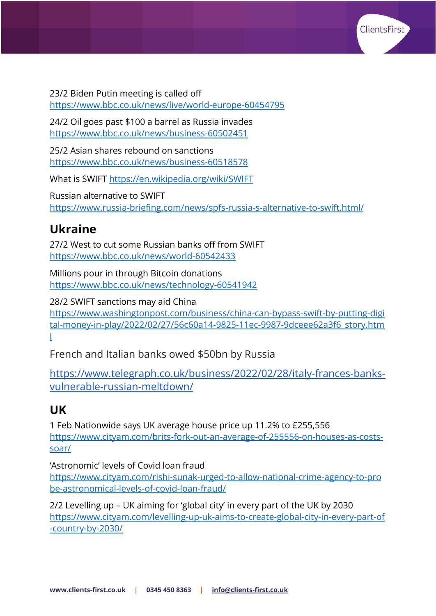

23/2 Biden Putin meeting is called off <https://www.bbc.co.uk/news/live/world-europe-60454795>

24/2 Oil goes past \$100 a barrel as Russia invades <https://www.bbc.co.uk/news/business-60502451>

25/2 Asian shares rebound on sanctions <https://www.bbc.co.uk/news/business-60518578>

What is SWIFT <https://en.wikipedia.org/wiki/SWIFT>

Russian alternative to SWIFT <https://www.russia-briefing.com/news/spfs-russia-s-alternative-to-swift.html/>

#### **Ukraine**

27/2 West to cut some Russian banks off from SWIFT <https://www.bbc.co.uk/news/world-60542433>

Millions pour in through Bitcoin donations <https://www.bbc.co.uk/news/technology-60541942>

28/2 SWIFT sanctions may aid China [https://www.washingtonpost.com/business/china-can-bypass-swift-by-putting-digi](https://www.washingtonpost.com/business/china-can-bypass-swift-by-putting-digital-money-in-play/2022/02/27/56c60a14-9825-11ec-9987-9dceee62a3f6_story.html) [tal-money-in-play/2022/02/27/56c60a14-9825-11ec-9987-9dceee62a3f6\\_story.htm](https://www.washingtonpost.com/business/china-can-bypass-swift-by-putting-digital-money-in-play/2022/02/27/56c60a14-9825-11ec-9987-9dceee62a3f6_story.html) [l](https://www.washingtonpost.com/business/china-can-bypass-swift-by-putting-digital-money-in-play/2022/02/27/56c60a14-9825-11ec-9987-9dceee62a3f6_story.html)

French and Italian banks owed \$50bn by Russia

[https://www.telegraph.co.uk/business/2022/02/28/italy-frances-banks](https://www.telegraph.co.uk/business/2022/02/28/italy-frances-banks-vulnerable-russian-meltdown/)[vulnerable-russian-meltdown/](https://www.telegraph.co.uk/business/2022/02/28/italy-frances-banks-vulnerable-russian-meltdown/)

#### **UK**

1 Feb Nationwide says UK average house price up 11.2% to £255,556 [https://www.cityam.com/brits-fork-out-an-average-of-255556-on-houses-as-costs](https://www.cityam.com/brits-fork-out-an-average-of-255556-on-houses-as-costs-soar/)[soar/](https://www.cityam.com/brits-fork-out-an-average-of-255556-on-houses-as-costs-soar/)

'Astronomic' levels of Covid loan fraud

[https://www.cityam.com/rishi-sunak-urged-to-allow-national-crime-agency-to-pro](https://www.cityam.com/rishi-sunak-urged-to-allow-national-crime-agency-to-probe-astronomical-levels-of-covid-loan-fraud/) [be-astronomical-levels-of-covid-loan-fraud/](https://www.cityam.com/rishi-sunak-urged-to-allow-national-crime-agency-to-probe-astronomical-levels-of-covid-loan-fraud/)

2/2 Levelling up – UK aiming for 'global city' in every part of the UK by 2030 [https://www.cityam.com/levelling-up-uk-aims-to-create-global-city-in-every-part-of](https://www.cityam.com/levelling-up-uk-aims-to-create-global-city-in-every-part-of-country-by-2030/) [-country-by-2030/](https://www.cityam.com/levelling-up-uk-aims-to-create-global-city-in-every-part-of-country-by-2030/)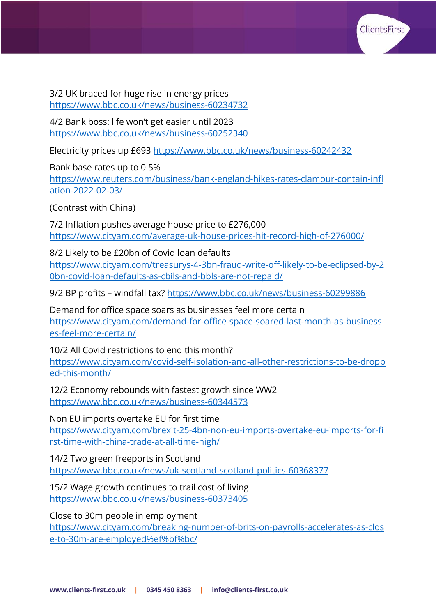

3/2 UK braced for huge rise in energy prices <https://www.bbc.co.uk/news/business-60234732>

4/2 Bank boss: life won't get easier until 2023 <https://www.bbc.co.uk/news/business-60252340>

Electricity prices up £693 <https://www.bbc.co.uk/news/business-60242432>

Bank base rates up to 0.5%

[https://www.reuters.com/business/bank-england-hikes-rates-clamour-contain-infl](https://www.reuters.com/business/bank-england-hikes-rates-clamour-contain-inflation-2022-02-03/) [ation-2022-02-03/](https://www.reuters.com/business/bank-england-hikes-rates-clamour-contain-inflation-2022-02-03/)

(Contrast with China)

7/2 Inflation pushes average house price to £276,000 <https://www.cityam.com/average-uk-house-prices-hit-record-high-of-276000/>

8/2 Likely to be £20bn of Covid loan defaults [https://www.cityam.com/treasurys-4-3bn-fraud-write-off-likely-to-be-eclipsed-by-2](https://www.cityam.com/treasurys-4-3bn-fraud-write-off-likely-to-be-eclipsed-by-20bn-covid-loan-defaults-as-cbils-and-bbls-are-not-repaid/) [0bn-covid-loan-defaults-as-cbils-and-bbls-are-not-repaid/](https://www.cityam.com/treasurys-4-3bn-fraud-write-off-likely-to-be-eclipsed-by-20bn-covid-loan-defaults-as-cbils-and-bbls-are-not-repaid/)

9/2 BP profits – windfall tax? <https://www.bbc.co.uk/news/business-60299886>

Demand for office space soars as businesses feel more certain [https://www.cityam.com/demand-for-office-space-soared-last-month-as-business](https://www.cityam.com/demand-for-office-space-soared-last-month-as-businesses-feel-more-certain/) [es-feel-more-certain/](https://www.cityam.com/demand-for-office-space-soared-last-month-as-businesses-feel-more-certain/)

10/2 All Covid restrictions to end this month? [https://www.cityam.com/covid-self-isolation-and-all-other-restrictions-to-be-dropp](https://www.cityam.com/covid-self-isolation-and-all-other-restrictions-to-be-dropped-this-month/) [ed-this-month/](https://www.cityam.com/covid-self-isolation-and-all-other-restrictions-to-be-dropped-this-month/)

12/2 Economy rebounds with fastest growth since WW2 <https://www.bbc.co.uk/news/business-60344573>

Non EU imports overtake EU for first time [https://www.cityam.com/brexit-25-4bn-non-eu-imports-overtake-eu-imports-for-fi](https://www.cityam.com/brexit-25-4bn-non-eu-imports-overtake-eu-imports-for-first-time-with-china-trade-at-all-time-high/) [rst-time-with-china-trade-at-all-time-high/](https://www.cityam.com/brexit-25-4bn-non-eu-imports-overtake-eu-imports-for-first-time-with-china-trade-at-all-time-high/)

14/2 Two green freeports in Scotland <https://www.bbc.co.uk/news/uk-scotland-scotland-politics-60368377>

15/2 Wage growth continues to trail cost of living <https://www.bbc.co.uk/news/business-60373405>

Close to 30m people in employment

[https://www.cityam.com/breaking-number-of-brits-on-payrolls-accelerates-as-clos](https://www.cityam.com/breaking-number-of-brits-on-payrolls-accelerates-as-close-to-30m-are-employed%ef%bf%bc/) [e-to-30m-are-employed%ef%bf%bc/](https://www.cityam.com/breaking-number-of-brits-on-payrolls-accelerates-as-close-to-30m-are-employed%ef%bf%bc/)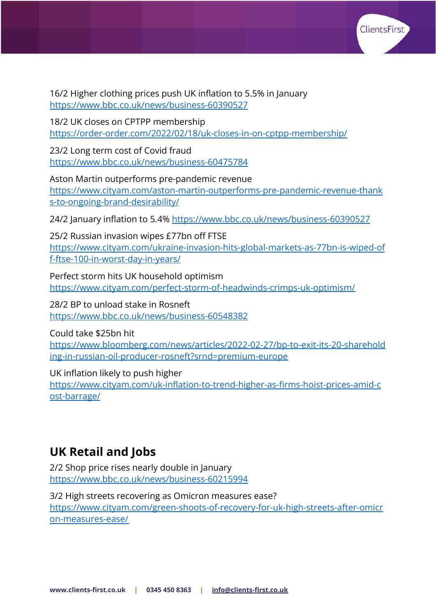

16/2 Higher clothing prices push UK inflation to 5.5% in January <https://www.bbc.co.uk/news/business-60390527>

18/2 UK closes on CPTPP membership <https://order-order.com/2022/02/18/uk-closes-in-on-cptpp-membership/>

23/2 Long term cost of Covid fraud <https://www.bbc.co.uk/news/business-60475784>

Aston Martin outperforms pre-pandemic revenue [https://www.cityam.com/aston-martin-outperforms-pre-pandemic-revenue-thank](https://www.cityam.com/aston-martin-outperforms-pre-pandemic-revenue-thanks-to-ongoing-brand-desirability/) [s-to-ongoing-brand-desirability/](https://www.cityam.com/aston-martin-outperforms-pre-pandemic-revenue-thanks-to-ongoing-brand-desirability/)

24/2 January inflation to 5.4% <https://www.bbc.co.uk/news/business-60390527>

25/2 Russian invasion wipes £77bn off FTSE

[https://www.cityam.com/ukraine-invasion-hits-global-markets-as-77bn-is-wiped-of](https://www.cityam.com/ukraine-invasion-hits-global-markets-as-77bn-is-wiped-off-ftse-100-in-worst-day-in-years/) [f-ftse-100-in-worst-day-in-years/](https://www.cityam.com/ukraine-invasion-hits-global-markets-as-77bn-is-wiped-off-ftse-100-in-worst-day-in-years/)

Perfect storm hits UK household optimism <https://www.cityam.com/perfect-storm-of-headwinds-crimps-uk-optimism/>

28/2 BP to unload stake in Rosneft <https://www.bbc.co.uk/news/business-60548382>

Could take \$25bn hit

[https://www.bloomberg.com/news/articles/2022-02-27/bp-to-exit-its-20-sharehold](https://www.bloomberg.com/news/articles/2022-02-27/bp-to-exit-its-20-shareholding-in-russian-oil-producer-rosneft?srnd=premium-europe) [ing-in-russian-oil-producer-rosneft?srnd=premium-europe](https://www.bloomberg.com/news/articles/2022-02-27/bp-to-exit-its-20-shareholding-in-russian-oil-producer-rosneft?srnd=premium-europe)

UK inflation likely to push higher

[https://www.cityam.com/uk-inflation-to-trend-higher-as-firms-hoist-prices-amid-c](https://www.cityam.com/uk-inflation-to-trend-higher-as-firms-hoist-prices-amid-cost-barrage/) [ost-barrage/](https://www.cityam.com/uk-inflation-to-trend-higher-as-firms-hoist-prices-amid-cost-barrage/)

## **UK Retail and Jobs**

2/2 Shop price rises nearly double in January <https://www.bbc.co.uk/news/business-60215994>

3/2 High streets recovering as Omicron measures ease? [https://www.cityam.com/green-shoots-of-recovery-for-uk-high-streets-after-omicr](https://www.cityam.com/green-shoots-of-recovery-for-uk-high-streets-after-omicron-measures-ease/) [on-measures-ease/](https://www.cityam.com/green-shoots-of-recovery-for-uk-high-streets-after-omicron-measures-ease/)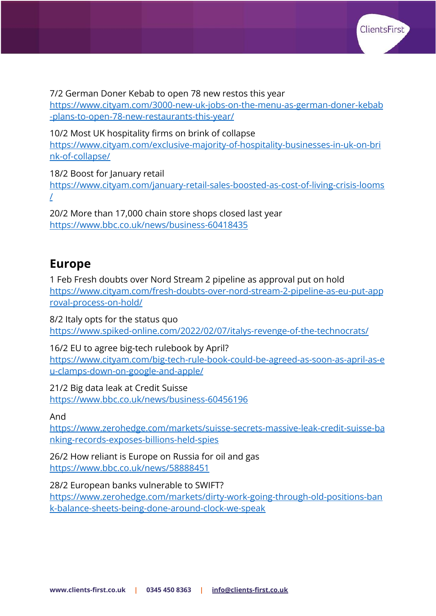

7/2 German Doner Kebab to open 78 new restos this year

[https://www.cityam.com/3000-new-uk-jobs-on-the-menu-as-german-doner-kebab](https://www.cityam.com/3000-new-uk-jobs-on-the-menu-as-german-doner-kebab-plans-to-open-78-new-restaurants-this-year/) [-plans-to-open-78-new-restaurants-this-year/](https://www.cityam.com/3000-new-uk-jobs-on-the-menu-as-german-doner-kebab-plans-to-open-78-new-restaurants-this-year/)

10/2 Most UK hospitality firms on brink of collapse

[https://www.cityam.com/exclusive-majority-of-hospitality-businesses-in-uk-on-bri](https://www.cityam.com/exclusive-majority-of-hospitality-businesses-in-uk-on-brink-of-collapse/) [nk-of-collapse/](https://www.cityam.com/exclusive-majority-of-hospitality-businesses-in-uk-on-brink-of-collapse/)

18/2 Boost for January retail

[https://www.cityam.com/january-retail-sales-boosted-as-cost-of-living-crisis-looms](https://www.cityam.com/january-retail-sales-boosted-as-cost-of-living-crisis-looms/) [/](https://www.cityam.com/january-retail-sales-boosted-as-cost-of-living-crisis-looms/)

20/2 More than 17,000 chain store shops closed last year <https://www.bbc.co.uk/news/business-60418435>

#### **Europe**

1 Feb Fresh doubts over Nord Stream 2 pipeline as approval put on hold [https://www.cityam.com/fresh-doubts-over-nord-stream-2-pipeline-as-eu-put-app](https://www.cityam.com/fresh-doubts-over-nord-stream-2-pipeline-as-eu-put-approval-process-on-hold/) [roval-process-on-hold/](https://www.cityam.com/fresh-doubts-over-nord-stream-2-pipeline-as-eu-put-approval-process-on-hold/)

8/2 Italy opts for the status quo <https://www.spiked-online.com/2022/02/07/italys-revenge-of-the-technocrats/>

16/2 EU to agree big-tech rulebook by April? [https://www.cityam.com/big-tech-rule-book-could-be-agreed-as-soon-as-april-as-e](https://www.cityam.com/big-tech-rule-book-could-be-agreed-as-soon-as-april-as-eu-clamps-down-on-google-and-apple/) [u-clamps-down-on-google-and-apple/](https://www.cityam.com/big-tech-rule-book-could-be-agreed-as-soon-as-april-as-eu-clamps-down-on-google-and-apple/)

21/2 Big data leak at Credit Suisse <https://www.bbc.co.uk/news/business-60456196>

And

[https://www.zerohedge.com/markets/suisse-secrets-massive-leak-credit-suisse-ba](https://www.zerohedge.com/markets/suisse-secrets-massive-leak-credit-suisse-banking-records-exposes-billions-held-spies) [nking-records-exposes-billions-held-spies](https://www.zerohedge.com/markets/suisse-secrets-massive-leak-credit-suisse-banking-records-exposes-billions-held-spies)

26/2 How reliant is Europe on Russia for oil and gas <https://www.bbc.co.uk/news/58888451>

28/2 European banks vulnerable to SWIFT?

[https://www.zerohedge.com/markets/dirty-work-going-through-old-positions-ban](https://www.zerohedge.com/markets/dirty-work-going-through-old-positions-bank-balance-sheets-being-done-around-clock-we-speak) [k-balance-sheets-being-done-around-clock-we-speak](https://www.zerohedge.com/markets/dirty-work-going-through-old-positions-bank-balance-sheets-being-done-around-clock-we-speak)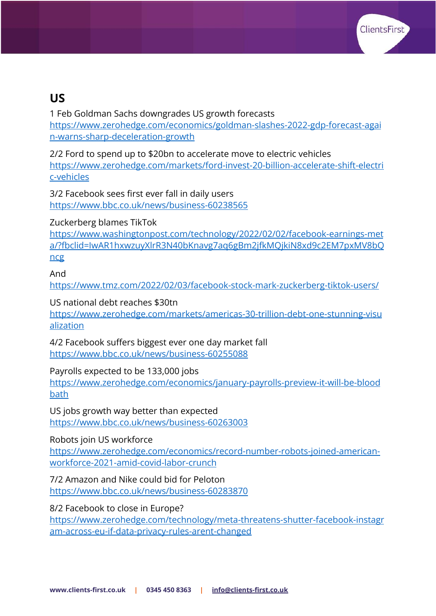

#### **US**

1 Feb Goldman Sachs downgrades US growth forecasts [https://www.zerohedge.com/economics/goldman-slashes-2022-gdp-forecast-agai](https://www.zerohedge.com/economics/goldman-slashes-2022-gdp-forecast-again-warns-sharp-deceleration-growth) [n-warns-sharp-deceleration-growth](https://www.zerohedge.com/economics/goldman-slashes-2022-gdp-forecast-again-warns-sharp-deceleration-growth)

2/2 Ford to spend up to \$20bn to accelerate move to electric vehicles [https://www.zerohedge.com/markets/ford-invest-20-billion-accelerate-shift-electri](https://www.zerohedge.com/markets/ford-invest-20-billion-accelerate-shift-electric-vehicles) [c-vehicles](https://www.zerohedge.com/markets/ford-invest-20-billion-accelerate-shift-electric-vehicles)

3/2 Facebook sees first ever fall in daily users <https://www.bbc.co.uk/news/business-60238565>

Zuckerberg blames TikTok

[https://www.washingtonpost.com/technology/2022/02/02/facebook-earnings-met](https://www.washingtonpost.com/technology/2022/02/02/facebook-earnings-meta/?fbclid=IwAR1hxwzuyXlrR3N40bKnavg7aq6gBm2jfkMQjkiN8xd9c2EM7pxMV8bQncg) [a/?fbclid=IwAR1hxwzuyXlrR3N40bKnavg7aq6gBm2jfkMQjkiN8xd9c2EM7pxMV8bQ](https://www.washingtonpost.com/technology/2022/02/02/facebook-earnings-meta/?fbclid=IwAR1hxwzuyXlrR3N40bKnavg7aq6gBm2jfkMQjkiN8xd9c2EM7pxMV8bQncg) [ncg](https://www.washingtonpost.com/technology/2022/02/02/facebook-earnings-meta/?fbclid=IwAR1hxwzuyXlrR3N40bKnavg7aq6gBm2jfkMQjkiN8xd9c2EM7pxMV8bQncg)

And

<https://www.tmz.com/2022/02/03/facebook-stock-mark-zuckerberg-tiktok-users/>

US national debt reaches \$30tn

[https://www.zerohedge.com/markets/americas-30-trillion-debt-one-stunning-visu](https://www.zerohedge.com/markets/americas-30-trillion-debt-one-stunning-visualization) [alization](https://www.zerohedge.com/markets/americas-30-trillion-debt-one-stunning-visualization)

4/2 Facebook suffers biggest ever one day market fall <https://www.bbc.co.uk/news/business-60255088>

Payrolls expected to be 133,000 jobs

[https://www.zerohedge.com/economics/january-payrolls-preview-it-will-be-blood](https://www.zerohedge.com/economics/january-payrolls-preview-it-will-be-bloodbath) [bath](https://www.zerohedge.com/economics/january-payrolls-preview-it-will-be-bloodbath)

US jobs growth way better than expected <https://www.bbc.co.uk/news/business-60263003>

Robots join US workforce

[https://www.zerohedge.com/economics/record-number-robots-joined-american](https://www.zerohedge.com/economics/record-number-robots-joined-american-workforce-2021-amid-covid-labor-crunch)[workforce-2021-amid-covid-labor-crunch](https://www.zerohedge.com/economics/record-number-robots-joined-american-workforce-2021-amid-covid-labor-crunch)

7/2 Amazon and Nike could bid for Peloton <https://www.bbc.co.uk/news/business-60283870>

8/2 Facebook to close in Europe?

[https://www.zerohedge.com/technology/meta-threatens-shutter-facebook-instagr](https://www.zerohedge.com/technology/meta-threatens-shutter-facebook-instagram-across-eu-if-data-privacy-rules-arent-changed) [am-across-eu-if-data-privacy-rules-arent-changed](https://www.zerohedge.com/technology/meta-threatens-shutter-facebook-instagram-across-eu-if-data-privacy-rules-arent-changed)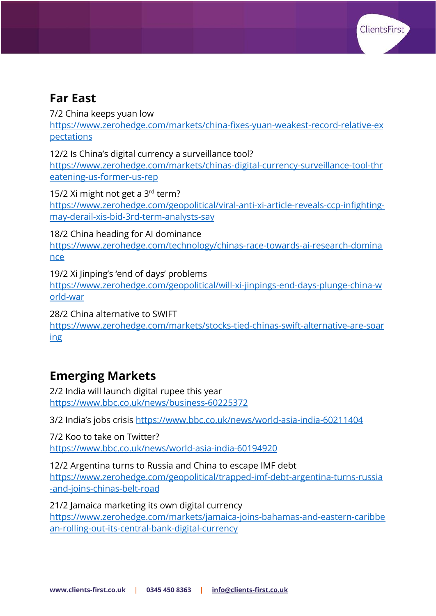

#### **Far East**

7/2 China keeps yuan low

[https://www.zerohedge.com/markets/china-fixes-yuan-weakest-record-relative-ex](https://www.zerohedge.com/markets/china-fixes-yuan-weakest-record-relative-expectations) [pectations](https://www.zerohedge.com/markets/china-fixes-yuan-weakest-record-relative-expectations)

12/2 Is China's digital currency a surveillance tool?

[https://www.zerohedge.com/markets/chinas-digital-currency-surveillance-tool-thr](https://www.zerohedge.com/markets/chinas-digital-currency-surveillance-tool-threatening-us-former-us-rep) [eatening-us-former-us-rep](https://www.zerohedge.com/markets/chinas-digital-currency-surveillance-tool-threatening-us-former-us-rep)

15/2 Xi might not get a 3<sup>rd</sup> term? [https://www.zerohedge.com/geopolitical/viral-anti-xi-article-reveals-ccp-infighting](https://www.zerohedge.com/geopolitical/viral-anti-xi-article-reveals-ccp-infighting-may-derail-xis-bid-3rd-term-analysts-say)[may-derail-xis-bid-3rd-term-analysts-say](https://www.zerohedge.com/geopolitical/viral-anti-xi-article-reveals-ccp-infighting-may-derail-xis-bid-3rd-term-analysts-say)

18/2 China heading for AI dominance [https://www.zerohedge.com/technology/chinas-race-towards-ai-research-domina](https://www.zerohedge.com/technology/chinas-race-towards-ai-research-dominance) [nce](https://www.zerohedge.com/technology/chinas-race-towards-ai-research-dominance)

19/2 Xi Jinping's 'end of days' problems [https://www.zerohedge.com/geopolitical/will-xi-jinpings-end-days-plunge-china-w](https://www.zerohedge.com/geopolitical/will-xi-jinpings-end-days-plunge-china-world-war) [orld-war](https://www.zerohedge.com/geopolitical/will-xi-jinpings-end-days-plunge-china-world-war)

28/2 China alternative to SWIFT [https://www.zerohedge.com/markets/stocks-tied-chinas-swift-alternative-are-soar](https://www.zerohedge.com/markets/stocks-tied-chinas-swift-alternative-are-soaring) [ing](https://www.zerohedge.com/markets/stocks-tied-chinas-swift-alternative-are-soaring)

### **Emerging Markets**

2/2 India will launch digital rupee this year <https://www.bbc.co.uk/news/business-60225372>

3/2 India's jobs crisis <https://www.bbc.co.uk/news/world-asia-india-60211404>

7/2 Koo to take on Twitter? <https://www.bbc.co.uk/news/world-asia-india-60194920>

12/2 Argentina turns to Russia and China to escape IMF debt [https://www.zerohedge.com/geopolitical/trapped-imf-debt-argentina-turns-russia](https://www.zerohedge.com/geopolitical/trapped-imf-debt-argentina-turns-russia-and-joins-chinas-belt-road) [-and-joins-chinas-belt-road](https://www.zerohedge.com/geopolitical/trapped-imf-debt-argentina-turns-russia-and-joins-chinas-belt-road)

21/2 Jamaica marketing its own digital currency [https://www.zerohedge.com/markets/jamaica-joins-bahamas-and-eastern-caribbe](https://www.zerohedge.com/markets/jamaica-joins-bahamas-and-eastern-caribbean-rolling-out-its-central-bank-digital-currency) [an-rolling-out-its-central-bank-digital-currency](https://www.zerohedge.com/markets/jamaica-joins-bahamas-and-eastern-caribbean-rolling-out-its-central-bank-digital-currency)